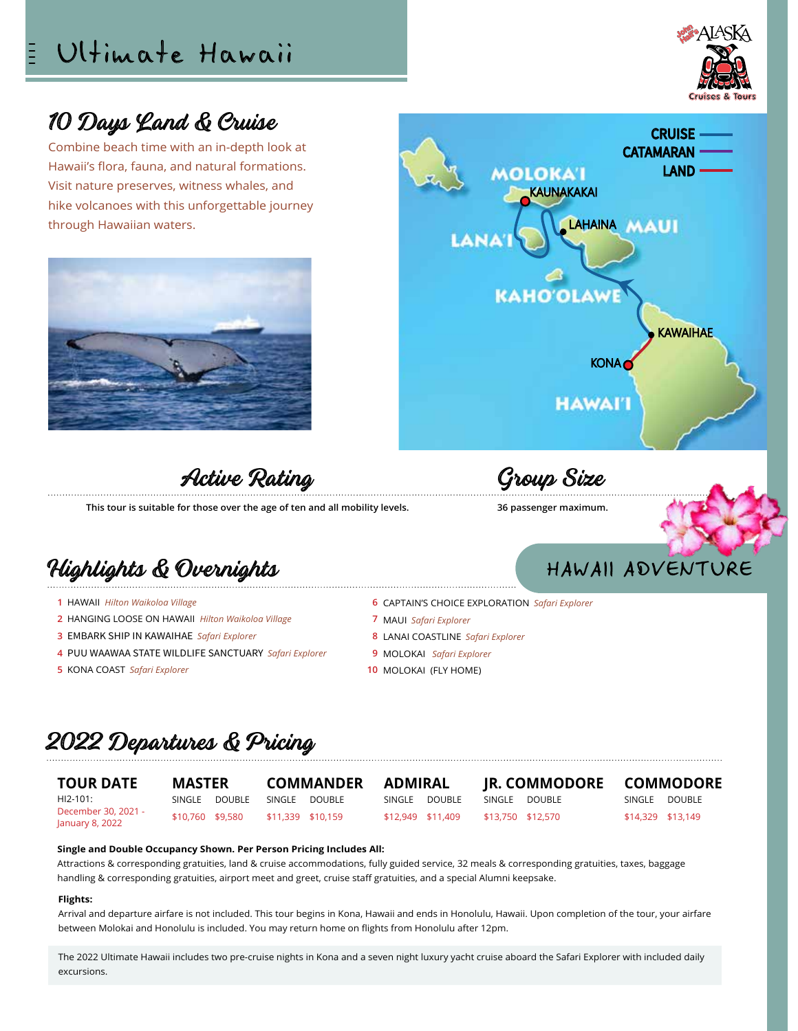# Ultimate Hawaii



## 10 Days Land & Cruise

Combine beach time with an in-depth look at Hawaii's flora, fauna, and natural formations. Visit nature preserves, witness whales, and hike volcanoes with this unforgettable journey through Hawaiian waters.



**CRUISE -CATAMARAN LAND-MOLOKA'I KAUNAKAKAI** LAHAINA MALUI **KAHO'OLAW KAWAIHAE** KONA **HAWAIT** 

Active Rating

**This tour is suitable for those over the age of ten and all mobility levels.**

## Highlights & Overnights

- HAWAII *Hilton Waikoloa Village*  **1**
- HANGING LOOSE ON HAWAII *Hilton Waikoloa Village* **2**
- EMBARK SHIP IN KAWAIHAE *Safari Explorer* **3**
- PUU WAAWAA STATE WILDLIFE SANCTUARY *Safari Explorer* **4**
- KONA COAST *Safari Explorer* **5**

Group Size

### **36 passenger maximum.**

## HAWAII ADVENTURE

- CAPTAIN'S CHOICE EXPLORATION *Safari Explorer* **6**
- MAUI *Safari Explorer* **7**
- LANAI COASTLINE *Safari Explorer*  **8**
- MOLOKAI *Safari Explorer* **9**
- 10 MOLOKAI (FLY HOME)

## 2022 Departures & Pricing

**TOUR DATE** HI2-101: December 30, 2021 - January 8, 2022

**MASTER** SINGLE DOUBLE

\$10,760 \$9,580

**COMMANDER** SINGLE DOUBLE \$11,339 \$10,159

**ADMIRAL** SINGLE DOUBLE \$12,949 \$11,409

**JR. COMMODORE** SINGLE DOUBLE \$13,750 \$12,570

**COMMODORE**

SINGLE DOUBLE \$14,329 \$13,149

### **Single and Double Occupancy Shown. Per Person Pricing Includes All:**

Attractions & corresponding gratuities, land & cruise accommodations, fully guided service, 32 meals & corresponding gratuities, taxes, baggage handling & corresponding gratuities, airport meet and greet, cruise staff gratuities, and a special Alumni keepsake.

### **Flights:**

Arrival and departure airfare is not included. This tour begins in Kona, Hawaii and ends in Honolulu, Hawaii. Upon completion of the tour, your airfare between Molokai and Honolulu is included. You may return home on flights from Honolulu after 12pm.

The 2022 Ultimate Hawaii includes two pre-cruise nights in Kona and a seven night luxury yacht cruise aboard the Safari Explorer with included daily excursions.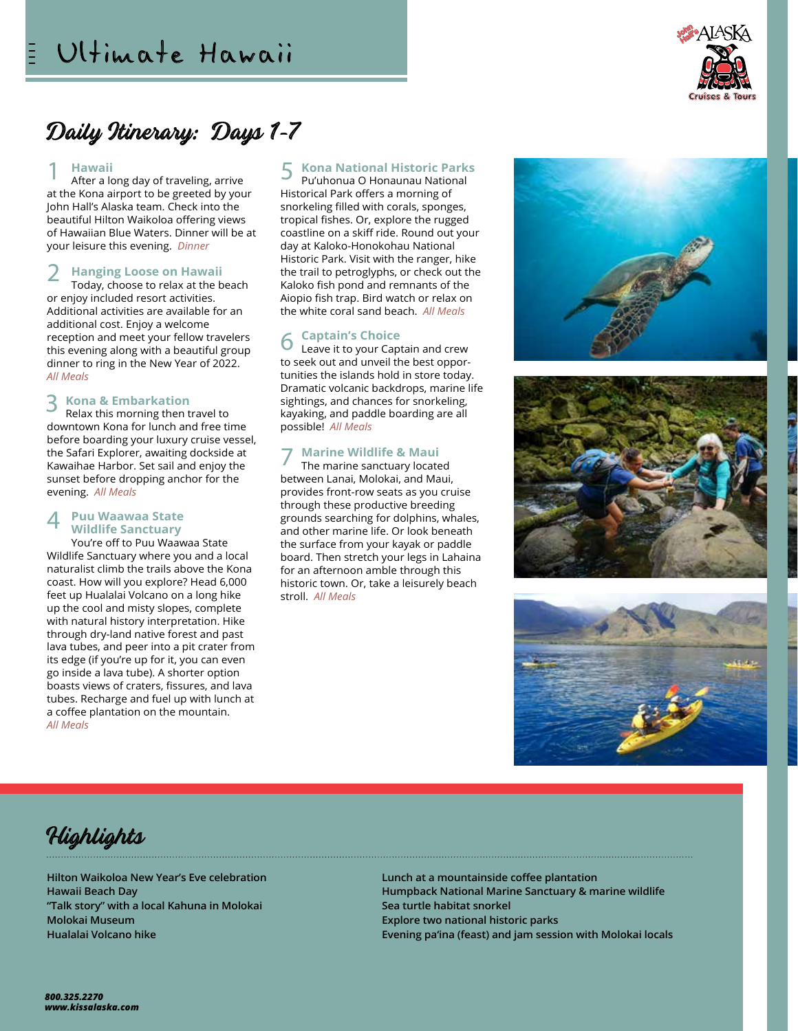

## Daily Itinerary: Days 1-7

### **Hawaii** 1

After a long day of traveling, arrive at the Kona airport to be greeted by your John Hall's Alaska team. Check into the beautiful Hilton Waikoloa offering views of Hawaiian Blue Waters. Dinner will be at your leisure this evening. *Dinner*

### **Hanging Loose on Hawaii** 2

Today, choose to relax at the beach or enjoy included resort activities. Additional activities are available for an additional cost. Enjoy a welcome reception and meet your fellow travelers this evening along with a beautiful group dinner to ring in the New Year of 2022. *All Meals*

### **Kona & Embarkation** 3

Relax this morning then travel to downtown Kona for lunch and free time before boarding your luxury cruise vessel, the Safari Explorer, awaiting dockside at Kawaihae Harbor. Set sail and enjoy the sunset before dropping anchor for the evening. *All Meals*

#### **Puu Waawaa State Wildlife Sanctuary**   $\Delta$

You're off to Puu Waawaa State Wildlife Sanctuary where you and a local naturalist climb the trails above the Kona coast. How will you explore? Head 6,000 feet up Hualalai Volcano on a long hike up the cool and misty slopes, complete with natural history interpretation. Hike through dry-land native forest and past lava tubes, and peer into a pit crater from its edge (if you're up for it, you can even go inside a lava tube). A shorter option boasts views of craters, fissures, and lava tubes. Recharge and fuel up with lunch at a coffee plantation on the mountain. *All Meals*

### **Kona National Historic Parks** 5

Pu'uhonua O Honaunau National Historical Park offers a morning of snorkeling filled with corals, sponges, tropical fishes. Or, explore the rugged coastline on a skiff ride. Round out your day at Kaloko-Honokohau National Historic Park. Visit with the ranger, hike the trail to petroglyphs, or check out the Kaloko fish pond and remnants of the Aiopio fish trap. Bird watch or relax on the white coral sand beach. *All Meals*

#### **Captain's Choice** 6

Leave it to your Captain and crew to seek out and unveil the best opportunities the islands hold in store today. Dramatic volcanic backdrops, marine life sightings, and chances for snorkeling, kayaking, and paddle boarding are all possible! *All Meals*

## **Marine Wildlife & Maui** 7

The marine sanctuary located between Lanai, Molokai, and Maui, provides front-row seats as you cruise through these productive breeding grounds searching for dolphins, whales, and other marine life. Or look beneath the surface from your kayak or paddle board. Then stretch your legs in Lahaina for an afternoon amble through this historic town. Or, take a leisurely beach stroll. *All Meals*









**Hilton Waikoloa New Year's Eve celebration Hawaii Beach Day "Talk story" with a local Kahuna in Molokai Molokai Museum Hualalai Volcano hike**

**Lunch at a mountainside coffee plantation Humpback National Marine Sanctuary & marine wildlife Sea turtle habitat snorkel Explore two national historic parks Evening pa'ina (feast) and jam session with Molokai locals**